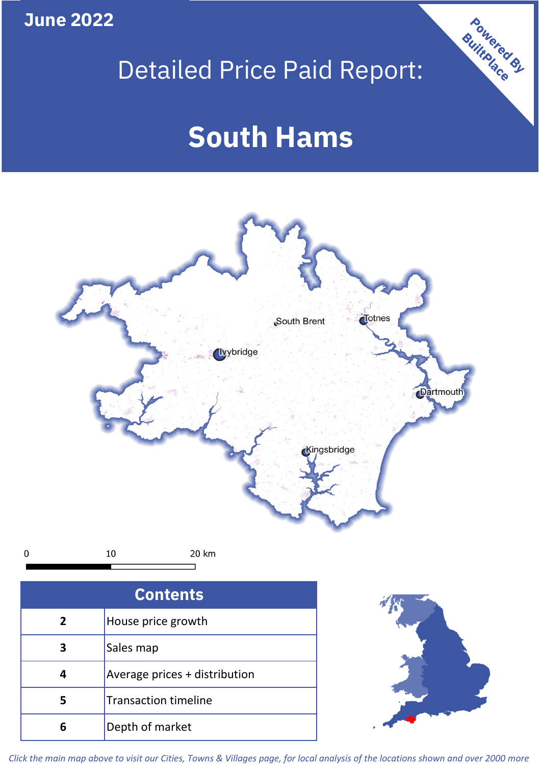**June 2022**

**5**

**4**

**3**

Sales map

**6** Depth of market

Average prices + distribution

Transaction timeline

# Detailed Price Paid Report:

Powered By

# **South Hams**



*Click the main map above to visit our Cities, Towns & Villages page, for local analysis of the locations shown and over 2000 more*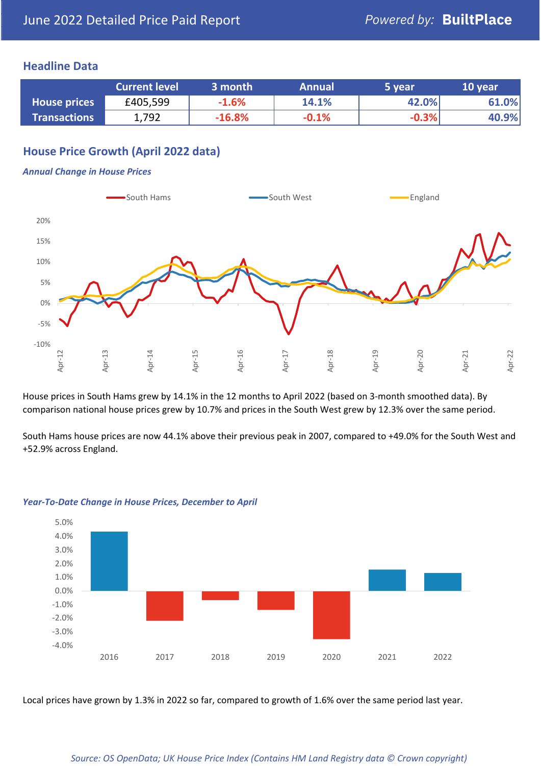## **Headline Data**

|                     | <b>Current level</b> | 3 month  | <b>Annual</b> | 5 year  | 10 year |
|---------------------|----------------------|----------|---------------|---------|---------|
| <b>House prices</b> | £405,599             | $-1.6%$  | 14.1%         | 42.0%   | 61.0%   |
| <b>Transactions</b> | 1,792                | $-16.8%$ | $-0.1%$       | $-0.3%$ | 40.9%   |

# **House Price Growth (April 2022 data)**

### *Annual Change in House Prices*



House prices in South Hams grew by 14.1% in the 12 months to April 2022 (based on 3-month smoothed data). By comparison national house prices grew by 10.7% and prices in the South West grew by 12.3% over the same period.

South Hams house prices are now 44.1% above their previous peak in 2007, compared to +49.0% for the South West and +52.9% across England.



### *Year-To-Date Change in House Prices, December to April*

Local prices have grown by 1.3% in 2022 so far, compared to growth of 1.6% over the same period last year.

### *Source: OS OpenData; UK House Price Index (Contains HM Land Registry data © Crown copyright)*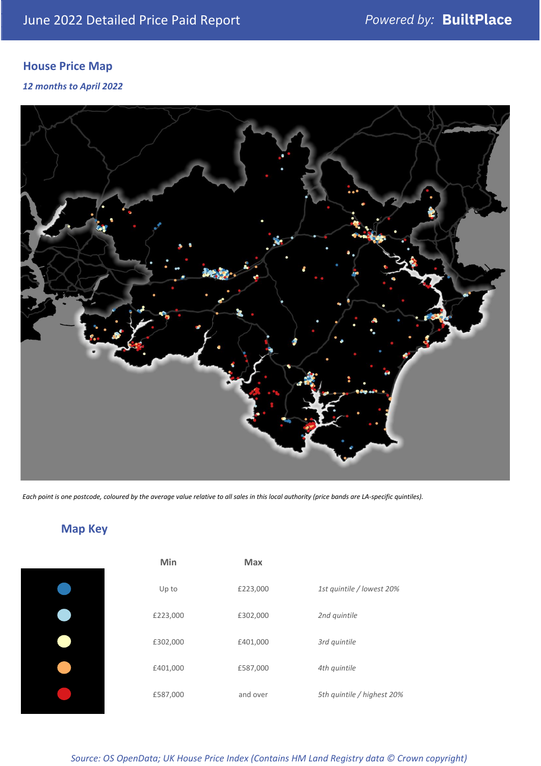# **House Price Map**

*12 months to April 2022*



*Each point is one postcode, coloured by the average value relative to all sales in this local authority (price bands are LA-specific quintiles).*

**Map Key**

| Min      | <b>Max</b> |                            |
|----------|------------|----------------------------|
| Up to    | £223,000   | 1st quintile / lowest 20%  |
| £223,000 | £302,000   | 2nd quintile               |
| £302,000 | £401,000   | 3rd quintile               |
| £401,000 | £587,000   | 4th quintile               |
| £587,000 | and over   | 5th quintile / highest 20% |

*Source: OS OpenData; UK House Price Index (Contains HM Land Registry data © Crown copyright)*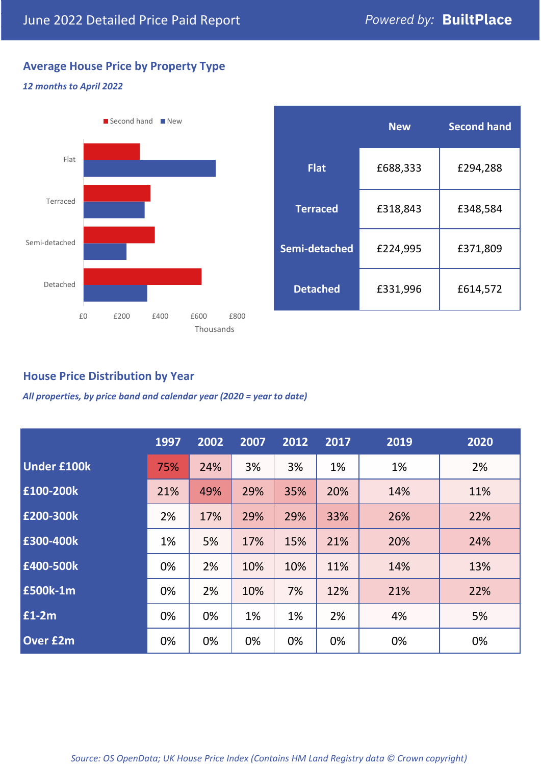# **Average House Price by Property Type**

## *12 months to April 2022*



|                 | <b>New</b> | <b>Second hand</b> |  |
|-----------------|------------|--------------------|--|
| <b>Flat</b>     | £688,333   | £294,288           |  |
| <b>Terraced</b> | £318,843   | £348,584           |  |
| Semi-detached   | £224,995   | £371,809           |  |
| <b>Detached</b> | £331,996   | £614,572           |  |

## **House Price Distribution by Year**

*All properties, by price band and calendar year (2020 = year to date)*

|                    | 1997 | 2002 | 2007 | 2012 | 2017 | 2019 | 2020 |
|--------------------|------|------|------|------|------|------|------|
| <b>Under £100k</b> | 75%  | 24%  | 3%   | 3%   | 1%   | 1%   | 2%   |
| £100-200k          | 21%  | 49%  | 29%  | 35%  | 20%  | 14%  | 11%  |
| E200-300k          | 2%   | 17%  | 29%  | 29%  | 33%  | 26%  | 22%  |
| £300-400k          | 1%   | 5%   | 17%  | 15%  | 21%  | 20%  | 24%  |
| £400-500k          | 0%   | 2%   | 10%  | 10%  | 11%  | 14%  | 13%  |
| <b>£500k-1m</b>    | 0%   | 2%   | 10%  | 7%   | 12%  | 21%  | 22%  |
| £1-2m              | 0%   | 0%   | 1%   | 1%   | 2%   | 4%   | 5%   |
| <b>Over £2m</b>    | 0%   | 0%   | 0%   | 0%   | 0%   | 0%   | 0%   |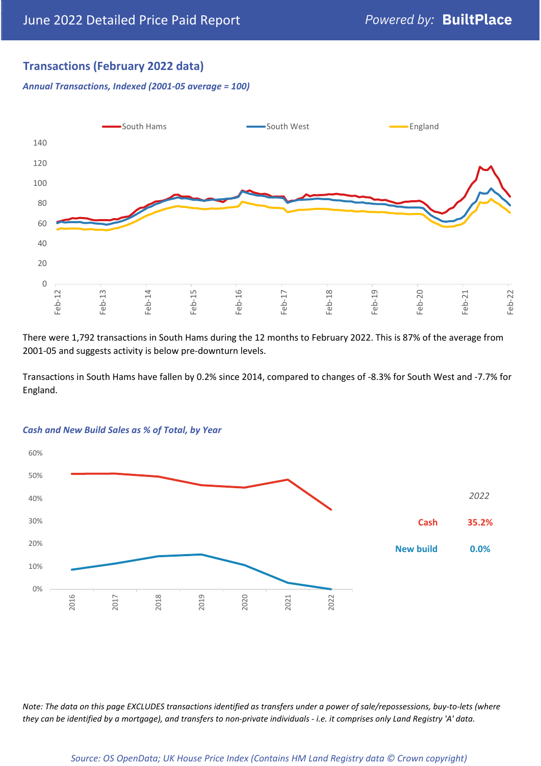## **Transactions (February 2022 data)**

*Annual Transactions, Indexed (2001-05 average = 100)*



There were 1,792 transactions in South Hams during the 12 months to February 2022. This is 87% of the average from 2001-05 and suggests activity is below pre-downturn levels.

Transactions in South Hams have fallen by 0.2% since 2014, compared to changes of -8.3% for South West and -7.7% for England.



### *Cash and New Build Sales as % of Total, by Year*

*Note: The data on this page EXCLUDES transactions identified as transfers under a power of sale/repossessions, buy-to-lets (where they can be identified by a mortgage), and transfers to non-private individuals - i.e. it comprises only Land Registry 'A' data.*